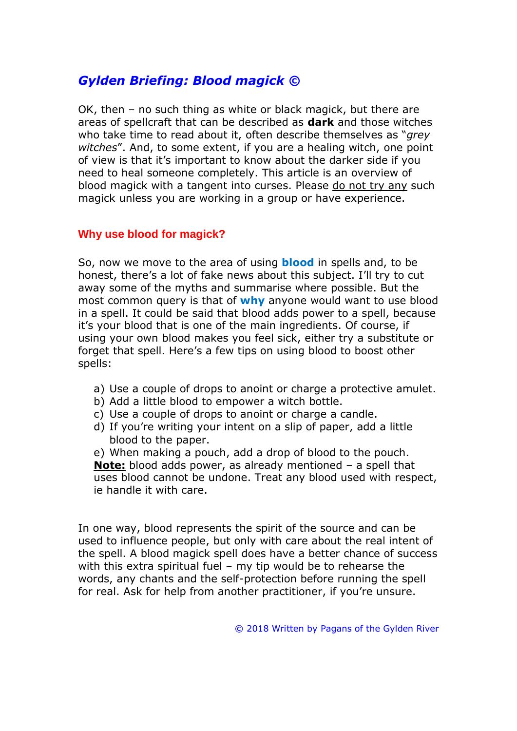# *Gylden Briefing: Blood magick ©*

OK, then – no such thing as white or black magick, but there are areas of spellcraft that can be described as **dark** and those witches who take time to read about it, often describe themselves as "*grey witches*". And, to some extent, if you are a healing witch, one point of view is that it's important to know about the darker side if you need to heal someone completely. This article is an overview of blood magick with a tangent into curses. Please do not try any such magick unless you are working in a group or have experience.

#### **Why use blood for magick?**

So, now we move to the area of using **blood** in spells and, to be honest, there's a lot of fake news about this subject. I'll try to cut away some of the myths and summarise where possible. But the most common query is that of **why** anyone would want to use blood in a spell. It could be said that blood adds power to a spell, because it's your blood that is one of the main ingredients. Of course, if using your own blood makes you feel sick, either try a substitute or forget that spell. Here's a few tips on using blood to boost other spells:

- a) Use a couple of drops to anoint or charge a protective amulet.
- b) Add a little blood to empower a witch bottle.
- c) Use a couple of drops to anoint or charge a candle.
- d) If you're writing your intent on a slip of paper, add a little blood to the paper.

e) When making a pouch, add a drop of blood to the pouch. **Note:** blood adds power, as already mentioned – a spell that uses blood cannot be undone. Treat any blood used with respect, ie handle it with care.

In one way, blood represents the spirit of the source and can be used to influence people, but only with care about the real intent of the spell. A blood magick spell does have a better chance of success with this extra spiritual fuel – my tip would be to rehearse the words, any chants and the self-protection before running the spell for real. Ask for help from another practitioner, if you're unsure.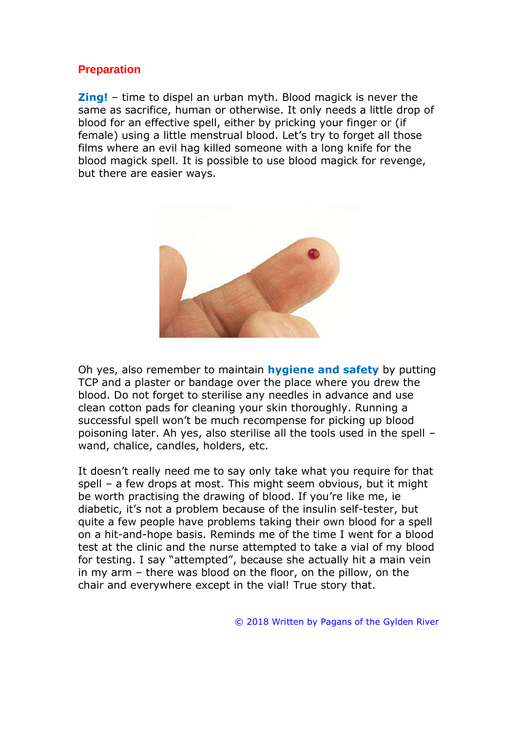### **Preparation**

**Zing!** – time to dispel an urban myth. Blood magick is never the same as sacrifice, human or otherwise. It only needs a little drop of blood for an effective spell, either by pricking your finger or (if female) using a little menstrual blood. Let's try to forget all those films where an evil hag killed someone with a long knife for the blood magick spell. It is possible to use blood magick for revenge, but there are easier ways.



Oh yes, also remember to maintain **hygiene and safety** by putting TCP and a plaster or bandage over the place where you drew the blood. Do not forget to sterilise any needles in advance and use clean cotton pads for cleaning your skin thoroughly. Running a successful spell won't be much recompense for picking up blood poisoning later. Ah yes, also sterilise all the tools used in the spell – wand, chalice, candles, holders, etc.

It doesn't really need me to say only take what you require for that spell – a few drops at most. This might seem obvious, but it might be worth practising the drawing of blood. If you're like me, ie diabetic, it's not a problem because of the insulin self-tester, but quite a few people have problems taking their own blood for a spell on a hit-and-hope basis. Reminds me of the time I went for a blood test at the clinic and the nurse attempted to take a vial of my blood for testing. I say "attempted", because she actually hit a main vein in my arm – there was blood on the floor, on the pillow, on the chair and everywhere except in the vial! True story that.

© 2018 Written by Pagans of the Gylden River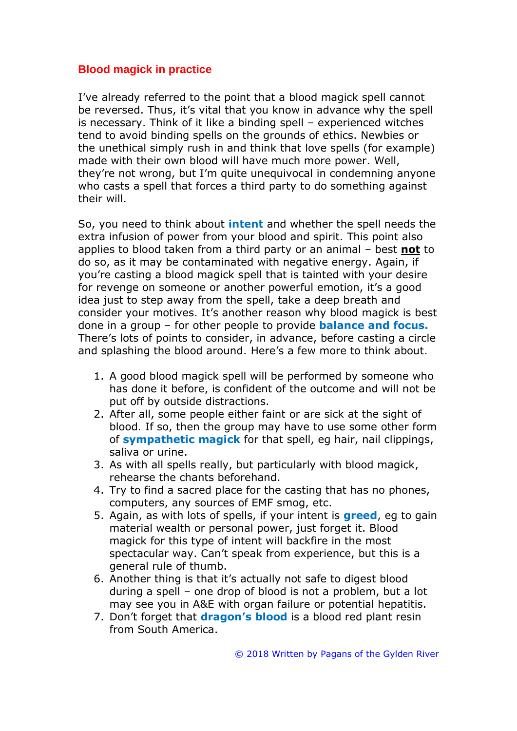## **Blood magick in practice**

I've already referred to the point that a blood magick spell cannot be reversed. Thus, it's vital that you know in advance why the spell is necessary. Think of it like a binding spell – experienced witches tend to avoid binding spells on the grounds of ethics. Newbies or the unethical simply rush in and think that love spells (for example) made with their own blood will have much more power. Well, they're not wrong, but I'm quite unequivocal in condemning anyone who casts a spell that forces a third party to do something against their will.

So, you need to think about **intent** and whether the spell needs the extra infusion of power from your blood and spirit. This point also applies to blood taken from a third party or an animal – best **not** to do so, as it may be contaminated with negative energy. Again, if you're casting a blood magick spell that is tainted with your desire for revenge on someone or another powerful emotion, it's a good idea just to step away from the spell, take a deep breath and consider your motives. It's another reason why blood magick is best done in a group – for other people to provide **balance and focus.** There's lots of points to consider, in advance, before casting a circle and splashing the blood around. Here's a few more to think about.

- 1. A good blood magick spell will be performed by someone who has done it before, is confident of the outcome and will not be put off by outside distractions.
- 2. After all, some people either faint or are sick at the sight of blood. If so, then the group may have to use some other form of **sympathetic magick** for that spell, eg hair, nail clippings, saliva or urine.
- 3. As with all spells really, but particularly with blood magick, rehearse the chants beforehand.
- 4. Try to find a sacred place for the casting that has no phones, computers, any sources of EMF smog, etc.
- 5. Again, as with lots of spells, if your intent is **greed**, eg to gain material wealth or personal power, just forget it. Blood magick for this type of intent will backfire in the most spectacular way. Can't speak from experience, but this is a general rule of thumb.
- 6. Another thing is that it's actually not safe to digest blood during a spell – one drop of blood is not a problem, but a lot may see you in A&E with organ failure or potential hepatitis.
- 7. Don't forget that **dragon's blood** is a blood red plant resin from South America.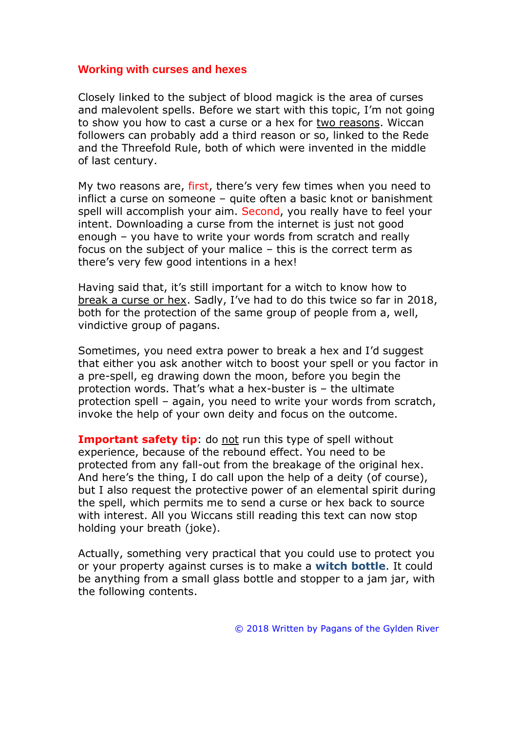#### **Working with curses and hexes**

Closely linked to the subject of blood magick is the area of curses and malevolent spells. Before we start with this topic, I'm not going to show you how to cast a curse or a hex for two reasons. Wiccan followers can probably add a third reason or so, linked to the Rede and the Threefold Rule, both of which were invented in the middle of last century.

My two reasons are, first, there's very few times when you need to inflict a curse on someone – quite often a basic knot or banishment spell will accomplish your aim. Second, you really have to feel your intent. Downloading a curse from the internet is just not good enough – you have to write your words from scratch and really focus on the subject of your malice – this is the correct term as there's very few good intentions in a hex!

Having said that, it's still important for a witch to know how to break a curse or hex. Sadly, I've had to do this twice so far in 2018, both for the protection of the same group of people from a, well, vindictive group of pagans.

Sometimes, you need extra power to break a hex and I'd suggest that either you ask another witch to boost your spell or you factor in a pre-spell, eg drawing down the moon, before you begin the protection words. That's what a hex-buster is – the ultimate protection spell – again, you need to write your words from scratch, invoke the help of your own deity and focus on the outcome.

**Important safety tip:** do not run this type of spell without experience, because of the rebound effect. You need to be protected from any fall-out from the breakage of the original hex. And here's the thing, I do call upon the help of a deity (of course), but I also request the protective power of an elemental spirit during the spell, which permits me to send a curse or hex back to source with interest. All you Wiccans still reading this text can now stop holding your breath (joke).

Actually, something very practical that you could use to protect you or your property against curses is to make a **witch bottle**. It could be anything from a small glass bottle and stopper to a jam jar, with the following contents.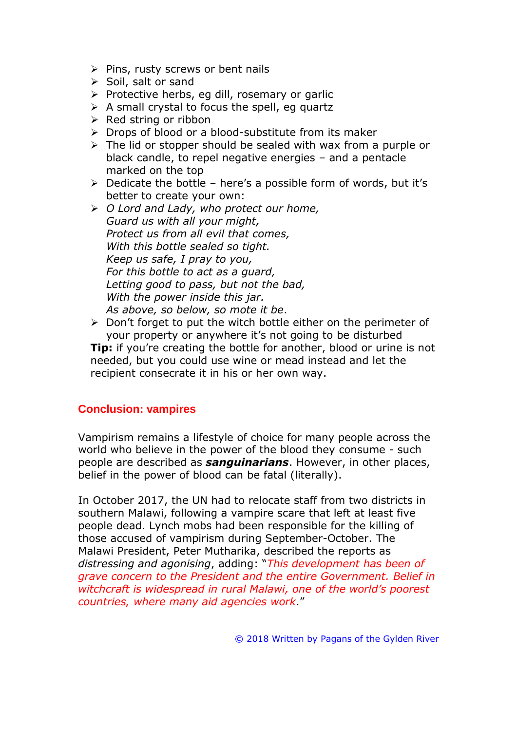- ➢ Pins, rusty screws or bent nails
- ➢ Soil, salt or sand
- ➢ Protective herbs, eg dill, rosemary or garlic
- $\triangleright$  A small crystal to focus the spell, eg quartz
- $\triangleright$  Red string or ribbon
- ➢ Drops of blood or a blood-substitute from its maker
- ➢ The lid or stopper should be sealed with wax from a purple or black candle, to repel negative energies – and a pentacle marked on the top
- $\triangleright$  Dedicate the bottle here's a possible form of words, but it's better to create your own:
- ➢ *O Lord and Lady, who protect our home, Guard us with all your might, Protect us from all evil that comes, With this bottle sealed so tight. Keep us safe, I pray to you, For this bottle to act as a guard, Letting good to pass, but not the bad, With the power inside this jar. As above, so below, so mote it be*.
- ➢ Don't forget to put the witch bottle either on the perimeter of your property or anywhere it's not going to be disturbed **Tip:** if you're creating the bottle for another, blood or urine is not needed, but you could use wine or mead instead and let the recipient consecrate it in his or her own way.

## **Conclusion: vampires**

Vampirism remains a lifestyle of choice for many people across the world who believe in the power of the blood they consume - such people are described as *sanguinarians*. However, in other places, belief in the power of blood can be fatal (literally).

In October 2017, the UN had to relocate staff from two districts in southern Malawi, following a vampire scare that left at least five people dead. Lynch mobs had been responsible for the killing of those accused of vampirism during September-October. The Malawi President, Peter Mutharika, described the reports as *distressing and agonising*, adding: "*This development has been of grave concern to the President and the entire Government. Belief in witchcraft is widespread in rural Malawi, one of the world's poorest countries, where many aid agencies work*."